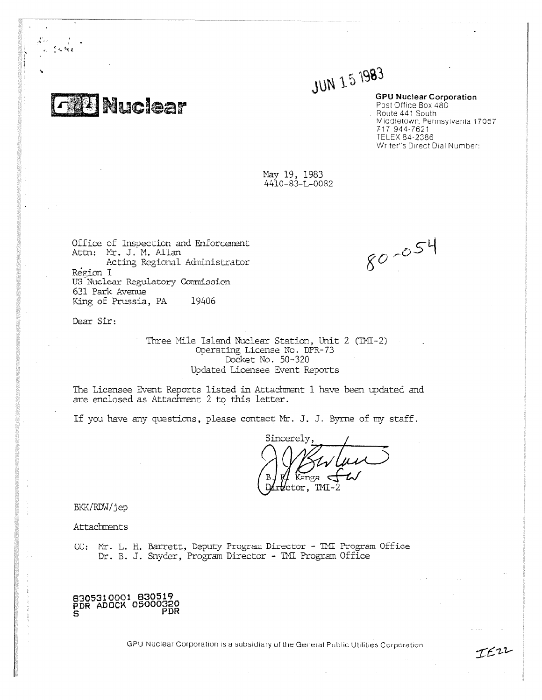**F Thuclear** 

ייטע  $1993$ 

**GPU Nuclear Corporation** Post Office Box 480 Route 441 South Middletown, Pennsylvania 17057 717 944 - 7621 TELEX 84-2386 Writer"s Direct Dial Number:

May 19, 1983 4410-83-L-0082

Ottice ot Inspection and Enforcement Attn: Mt. J. M. Allan Acting Regional Administrator Region I US Nuclear Regulatory Commission 631 Park Avenue King of Prussia, PA 19406

Dear Sir:

Three Mile Island Nuclear Station, Unit 2 (TMI-2) Operating License No. DPR-73 Docket No. 50-320 Updated Licensee Event Reports

The Licensee Event Reports listed in Attachment I have been updated and are enclosed as Attachment 2 to this letter.

If you have any questions, please contact Mt. J. J. Byrne of my staff.

Sincerely,  $\lim_{\mathcal{B}}$   $\leftarrow$   $\sim$  $TM$ 

BKK/RDW/jep

Attachments

CC: Mr. L. H. Barrett, Deputy Program Director - TMI Program Office Dr. B. J. Snyder, Program Director - TMI Program Office

8305310001 830519 PDR ADOCK 05000329 PDR

GPU Nuclear Corporation is a subsidiary of the General Public Utilities Corporation

 $80 - 054$ 

IEU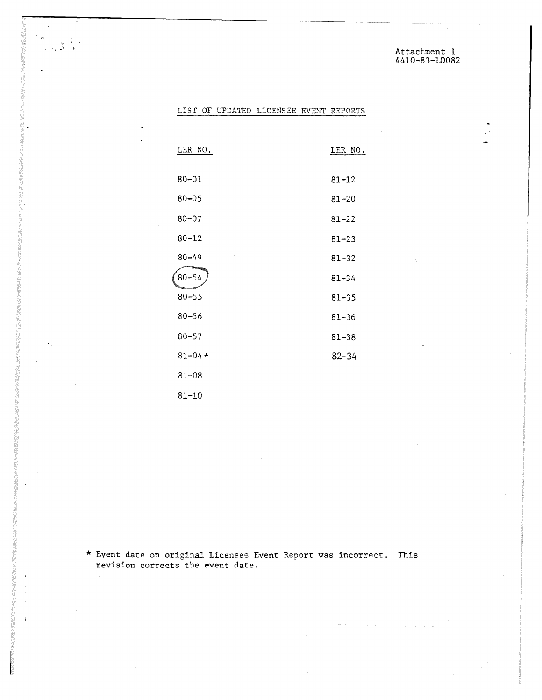Attachment 1 4410-83-L0082

## LIST OF UPDATED LICENSEE EVENT REPORTS

 $\mathcal{F}$ 

 $\frac{1}{\sqrt{2}}\sum_{i=1}^{N}\frac{1}{i}\frac{1}{i}$ 

 $\ddot{\cdot}$ 

 $\mathcal{L}$ 

 $\ddot{t}$ 

| LER NO.    | LER NO.   |
|------------|-----------|
|            |           |
| $80 - 01$  | $81 - 12$ |
| $80 - 05$  | $81 - 20$ |
| $80 - 07$  | $81 - 22$ |
| $80 - 12$  | $81 - 23$ |
| $80 - 49$  | $81 - 32$ |
| $80 - 54$  | 81–34     |
| $80 - 55$  | $81 - 35$ |
| $80 - 56$  | $81 - 36$ |
| $80 - 57$  | $81 - 38$ |
| $81 - 04*$ | $82 - 34$ |
| $81 - 08$  |           |
| $81 - 10$  |           |

\* Event date on original Licensee Event Report was incorrect. This revision corrects the event date.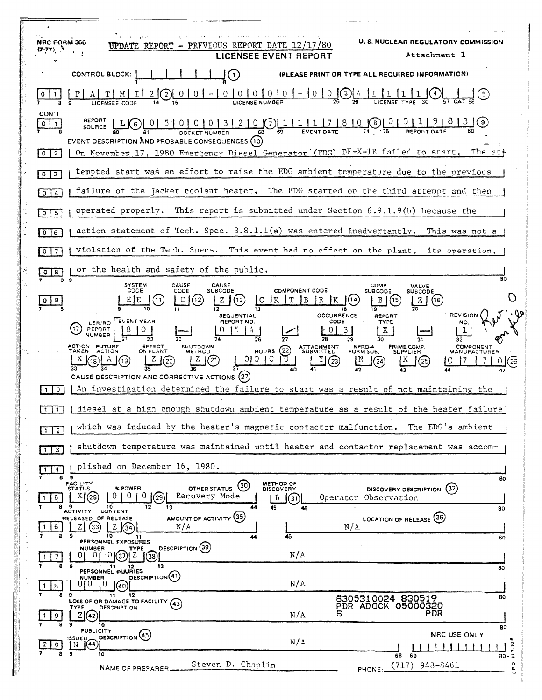| <b>NRC FORM 366</b><br>REPORT - PREVIOUS REPORT DATE 12/17/80<br>(7-77) 1                                                                                                                                                                                                                                                             | LICENSEE EVENT REPORT                                                    | <b>U.S. NUCLEAR REGULATORY COMMISSION</b><br>Attachment 1                                               |
|---------------------------------------------------------------------------------------------------------------------------------------------------------------------------------------------------------------------------------------------------------------------------------------------------------------------------------------|--------------------------------------------------------------------------|---------------------------------------------------------------------------------------------------------|
| <b>CONTROL BLOCK:</b>                                                                                                                                                                                                                                                                                                                 |                                                                          | (PLEASE PRINT OR TYPE ALL REQUIRED INFORMATION)                                                         |
| $0 \mid 0$<br>$\overline{0}$<br>0                                                                                                                                                                                                                                                                                                     | $\begin{bmatrix} 0 & 0 & - & 0 & 0 & 0 \end{bmatrix}$                    |                                                                                                         |
| CON'T<br>$\underbrace{015101010131210}_{\text{DOCKET NUMBER}}$ $\underbrace{0131210}_{\text{69}}$ $\underbrace{0111117181000}_{\text{fVENT DATE}}$<br>L(6)<br>0<br>SOURCE<br>EVENT DESCRIPTION AND PROBABLE CONSEQUENCES (10)<br>On November 17, 1980 Emergency Diesel Generator (EDG) DF-X-1R failed to start. The at+<br>$0 \mid 2$ |                                                                          |                                                                                                         |
| tempted start was an effort to raise the EDG ambient temperature due to the previous<br>$0 \mid 3$                                                                                                                                                                                                                                    |                                                                          |                                                                                                         |
| failure of the jacket coolant heater. The EDG started on the third attempt and then<br>$0 \mid 4$                                                                                                                                                                                                                                     |                                                                          |                                                                                                         |
| operated properly. This report is submitted under Section $6.9.1.9(b)$ because the<br>$0$   5                                                                                                                                                                                                                                         |                                                                          |                                                                                                         |
| action statement of Tech. Spec. $3.8.1.1(a)$ was entered inadvertantly. This was not a<br>$0$ 6                                                                                                                                                                                                                                       |                                                                          |                                                                                                         |
| violation of the Tech. Specs.<br>$\overline{7}$<br>$\circ$                                                                                                                                                                                                                                                                            |                                                                          | This event had no effect on the plant, its operation,                                                   |
| or the health and safety of the public.<br>8<br>ŀο                                                                                                                                                                                                                                                                                    |                                                                          |                                                                                                         |
| $\cdot$<br><b>SYSTEM</b><br>CAUSE<br>CAUSE<br>CODE<br>CODE<br><b>SUBCODE</b><br>$ 12\rangle$<br>9<br>[11]<br>13.<br>o<br><b>SEQUENTIAL</b>                                                                                                                                                                                            | <b>COMPONENT CODE</b><br>l B<br>IR.<br>18<br><b>OCCURRENCE</b>           | 80<br>COMP.<br>VALVE<br><b>SUBCODE</b><br>SUBCODE<br>(16)<br>zι<br><b>REVISION</b><br>REPORT            |
| <b>EVENT YEAR</b><br>REPORT NO.<br>LER/RO I<br>REPORT<br>ACTION FUTURE<br>EFFECT<br>ON PLANT<br><b>SHUTDOWN</b><br>TAKEN<br><b>ACTION</b><br>METHOD<br>010.<br>CAUSE DESCRIPTION AND CORRECTIVE ACTIONS (27)                                                                                                                          | CODE<br>26<br>ATTACHMENT<br>(22)<br><b>HOURS</b><br>$\overline{10}$<br>D | TYPE<br>X.<br><b>COMPONENT</b><br>NPRD-4<br>FORM SUB.<br>PRIME COMP.<br>SUPPLIER<br><b>MANUFACTUREF</b> |
| An investigation determined the failure to start was a result of not maintaining the<br>$\circ$                                                                                                                                                                                                                                       |                                                                          |                                                                                                         |
| diesel at a high enough shutdown ambient temperature as a result of the heater failure)                                                                                                                                                                                                                                               |                                                                          |                                                                                                         |
| which was induced by the heater's magnetic contactor malfunction.<br>$1$ $2$                                                                                                                                                                                                                                                          |                                                                          | The EDG's ambient                                                                                       |
| shutdown temperature was maintained until heater and contactor replacement was accom-<br>$1 \, 3$                                                                                                                                                                                                                                     |                                                                          |                                                                                                         |
| plished on December 16, 1980.<br>$\mathbf{1}$<br>$\overline{4}$<br>- 9<br>8                                                                                                                                                                                                                                                           |                                                                          | 80                                                                                                      |
| FACILITY<br>STATUS<br>OTHER STATUS (30)<br>% POWER<br>Recovery Mode<br>X(28)<br>$0+0$<br>29)<br>$\sqrt{5}$<br>$\overline{1}$<br>10<br>12<br>13<br>7<br>44                                                                                                                                                                             | METHOD OF<br>DISCOVERY<br>B<br>(31)<br>45<br>46                          | (32)<br>DISCOVERY DESCRIPTION<br>Operator Observation<br>80                                             |
| 8 8 ACTIVITY<br>CONTENT<br>AMOUNT OF ACTIVITY (35)<br>RELEASED OF RELEASE<br>N/A<br>(33)<br>6<br>-9<br>10<br>8<br>11                                                                                                                                                                                                                  | 45                                                                       | LOCATION OF RELEASE (36)<br>N/A<br>80                                                                   |
| PERSONNEL EXPOSURES<br>DESCRIPTION (39)<br><b>NUMBER</b><br><b>TYPE</b><br>$-0$ ((37) (2)<br>01<br>(38)<br>7<br>8<br>- 9<br>13                                                                                                                                                                                                        | N/A                                                                      |                                                                                                         |
| 11 12<br>PERSONNEL INJURIES<br>DESCRIPTION(41)<br><b>NUMBER</b><br>010.<br>ΙO<br>†8.<br>(40)<br>8<br>-9<br>12<br>11                                                                                                                                                                                                                   | N/A                                                                      | 80                                                                                                      |
| LOSS OF OR DAMAGE TO FACILITY (43)<br><b>DESCRIPTION</b><br><b>TYPE</b><br>Z (42)<br>9<br>9<br>10                                                                                                                                                                                                                                     | N/A                                                                      | 80<br>8305310024 830519<br>PDR ADOCK 05000320<br>PDR                                                    |
| <b>PUBLICITY</b><br>DESCRIPTION <sup>(45)</sup><br>ISSUED_<br>$\sqrt{(44)}$<br>2 I<br>$\circ$<br>N<br>8<br>- 9<br>10                                                                                                                                                                                                                  | N/A                                                                      | 80<br><b>NRC USE ONLY</b><br>$7 - 32$<br>-----<br>68 69                                                 |
| Steven D. Chaplin<br>NAME OF PREPARER.                                                                                                                                                                                                                                                                                                |                                                                          | 30.5<br>$\circ$<br>$(717)$ 948-8461<br>PHONE:<br>o.                                                     |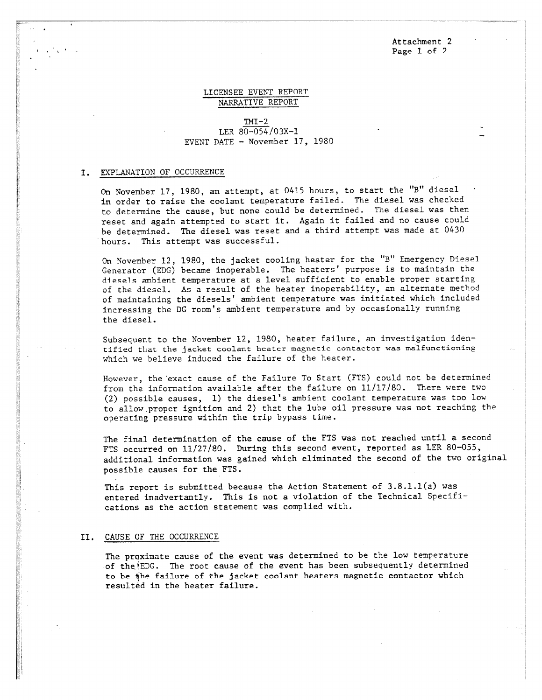Attachment 2 Page 1 of 2

# LICENSEE EVENT REPORT NARRATIVE REPORT

## $TMI-2$ LER 80-054/03X-1 EVENT DATE - November 17, 1980

#### I. EXPLANATION OF OCCURRENCE

On November 17, 1980, an attempt, at 0415 hours, to start the "B" diesel in order to raise the coolant temperature failed. The diesel was checked to determine the cause, but none could be determined. The diesel was then reset and again attempted to start it. Again it failed and no cause could be determined. The diesel was reset and a third attempt was made at 0430 hours. This attempt was successful.

On November 12, 1980, the jacket cooling heater for the "B" Emergency Diesel Generator (EDG) became inoperable. The heaters' purpose is to maintain the diesels ambient temperature at a level sufficient to enable proper starting of the diesel. As a result of the heater inoperability, an alternate method of maintaining the diesels' ambient temperature was initiated which included increasing the DG room's ambient temperature and by occasionally running the diesel.

Subsequent to the November 12, 1980, heater failure, an investigation identified that the jacket coolant heater magnetic contactor was malfunctioning which we believe induced the failure of the heater.

However, the exact cause of the Failure To Start (FTS) could not be determined from the information available after the failure on  $11/17/80$ . There were two (2) possible causes, 1) the diesel's ambient coolant temperature was too low to allow ,proper ignition and 2) that the lube oil pressure was not reaching the operating pressure within the trip bypass time.

The final determination of the cause of the FTS was not reached until a second FTS occurred on 11/27/80. During this second event, reported as LER 80-055, additional information was gained which eliminated the second of the two original possible causes for the FTS.

This report is submitted because the Action Statement of  $3.8.1.1(a)$  was entered inadvertantly. This is not a violation of the Technical Specifications as the action statement was complied with.

#### II. CAUSE OF THE OCCURRENCE

The proximate cause of the event was determined to be the low temperature of the EDG. The root cause of the event has been subsequently determined to be the failure of the jacket coolant heaters magnetic contactor which resulted in the heater failure.